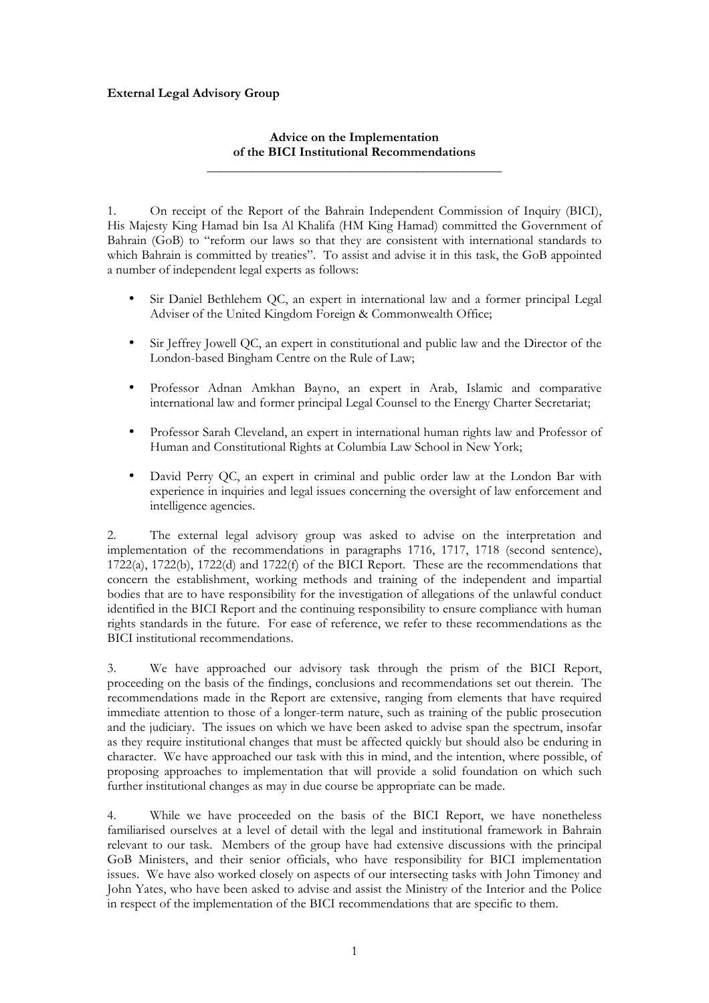## **External Legal Advisory Group**

## **Advice on the Implementation of the BICI Institutional Recommendations \_\_\_\_\_\_\_\_\_\_\_\_\_\_\_\_\_\_\_\_\_\_\_\_\_\_\_\_\_\_\_\_\_\_\_\_\_\_\_\_\_\_\_\_\_**

1. On receipt of the Report of the Bahrain Independent Commission of Inquiry (BICI), His Majesty King Hamad bin Isa Al Khalifa (HM King Hamad) committed the Government of Bahrain (GoB) to "reform our laws so that they are consistent with international standards to which Bahrain is committed by treaties". To assist and advise it in this task, the GoB appointed a number of independent legal experts as follows:

- Sir Daniel Bethlehem QC, an expert in international law and a former principal Legal Adviser of the United Kingdom Foreign & Commonwealth Office;
- Sir Jeffrey Jowell QC, an expert in constitutional and public law and the Director of the London-based Bingham Centre on the Rule of Law;
- Professor Adnan Amkhan Bayno, an expert in Arab, Islamic and comparative international law and former principal Legal Counsel to the Energy Charter Secretariat;
- Professor Sarah Cleveland, an expert in international human rights law and Professor of Human and Constitutional Rights at Columbia Law School in New York;
- David Perry QC, an expert in criminal and public order law at the London Bar with experience in inquiries and legal issues concerning the oversight of law enforcement and intelligence agencies.

2. The external legal advisory group was asked to advise on the interpretation and implementation of the recommendations in paragraphs 1716, 1717, 1718 (second sentence), 1722(a), 1722(b), 1722(d) and 1722(f) of the BICI Report. These are the recommendations that concern the establishment, working methods and training of the independent and impartial bodies that are to have responsibility for the investigation of allegations of the unlawful conduct identified in the BICI Report and the continuing responsibility to ensure compliance with human rights standards in the future. For ease of reference, we refer to these recommendations as the BICI institutional recommendations.

3. We have approached our advisory task through the prism of the BICI Report, proceeding on the basis of the findings, conclusions and recommendations set out therein. The recommendations made in the Report are extensive, ranging from elements that have required immediate attention to those of a longer-term nature, such as training of the public prosecution and the judiciary. The issues on which we have been asked to advise span the spectrum, insofar as they require institutional changes that must be affected quickly but should also be enduring in character. We have approached our task with this in mind, and the intention, where possible, of proposing approaches to implementation that will provide a solid foundation on which such further institutional changes as may in due course be appropriate can be made.

4. While we have proceeded on the basis of the BICI Report, we have nonetheless familiarised ourselves at a level of detail with the legal and institutional framework in Bahrain relevant to our task. Members of the group have had extensive discussions with the principal GoB Ministers, and their senior officials, who have responsibility for BICI implementation issues. We have also worked closely on aspects of our intersecting tasks with John Timoney and John Yates, who have been asked to advise and assist the Ministry of the Interior and the Police in respect of the implementation of the BICI recommendations that are specific to them.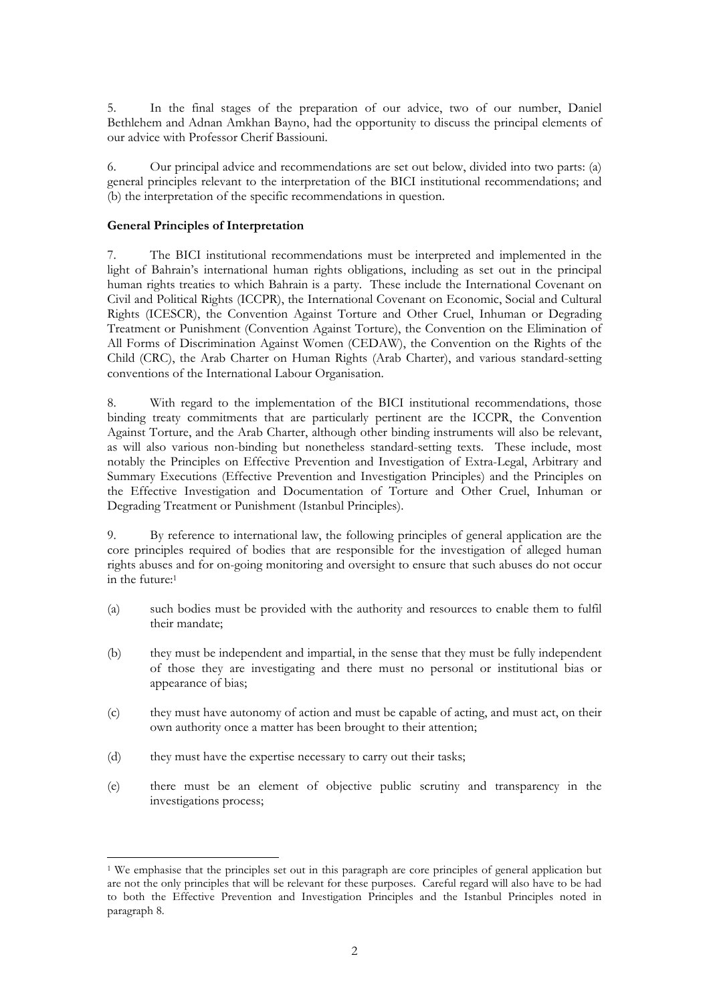5. In the final stages of the preparation of our advice, two of our number, Daniel Bethlehem and Adnan Amkhan Bayno, had the opportunity to discuss the principal elements of our advice with Professor Cherif Bassiouni.

6. Our principal advice and recommendations are set out below, divided into two parts: (a) general principles relevant to the interpretation of the BICI institutional recommendations; and (b) the interpretation of the specific recommendations in question.

## **General Principles of Interpretation**

7. The BICI institutional recommendations must be interpreted and implemented in the light of Bahrain's international human rights obligations, including as set out in the principal human rights treaties to which Bahrain is a party. These include the International Covenant on Civil and Political Rights (ICCPR), the International Covenant on Economic, Social and Cultural Rights (ICESCR), the Convention Against Torture and Other Cruel, Inhuman or Degrading Treatment or Punishment (Convention Against Torture), the Convention on the Elimination of All Forms of Discrimination Against Women (CEDAW), the Convention on the Rights of the Child (CRC), the Arab Charter on Human Rights (Arab Charter), and various standard-setting conventions of the International Labour Organisation.

8. With regard to the implementation of the BICI institutional recommendations, those binding treaty commitments that are particularly pertinent are the ICCPR, the Convention Against Torture, and the Arab Charter, although other binding instruments will also be relevant, as will also various non-binding but nonetheless standard-setting texts. These include, most notably the Principles on Effective Prevention and Investigation of Extra-Legal, Arbitrary and Summary Executions (Effective Prevention and Investigation Principles) and the Principles on the Effective Investigation and Documentation of Torture and Other Cruel, Inhuman or Degrading Treatment or Punishment (Istanbul Principles).

9. By reference to international law, the following principles of general application are the core principles required of bodies that are responsible for the investigation of alleged human rights abuses and for on-going monitoring and oversight to ensure that such abuses do not occur in the future:1

- (a) such bodies must be provided with the authority and resources to enable them to fulfil their mandate;
- (b) they must be independent and impartial, in the sense that they must be fully independent of those they are investigating and there must no personal or institutional bias or appearance of bias;
- (c) they must have autonomy of action and must be capable of acting, and must act, on their own authority once a matter has been brought to their attention;
- (d) they must have the expertise necessary to carry out their tasks;
- (e) there must be an element of objective public scrutiny and transparency in the investigations process;

<sup>!!!!!!!!!!!!!!!!!!!!!!!!!!!!!!!!!!!!!!!!!!!!!!!!!!!!!!!</sup> <sup>1</sup> We emphasise that the principles set out in this paragraph are core principles of general application but are not the only principles that will be relevant for these purposes. Careful regard will also have to be had to both the Effective Prevention and Investigation Principles and the Istanbul Principles noted in paragraph 8.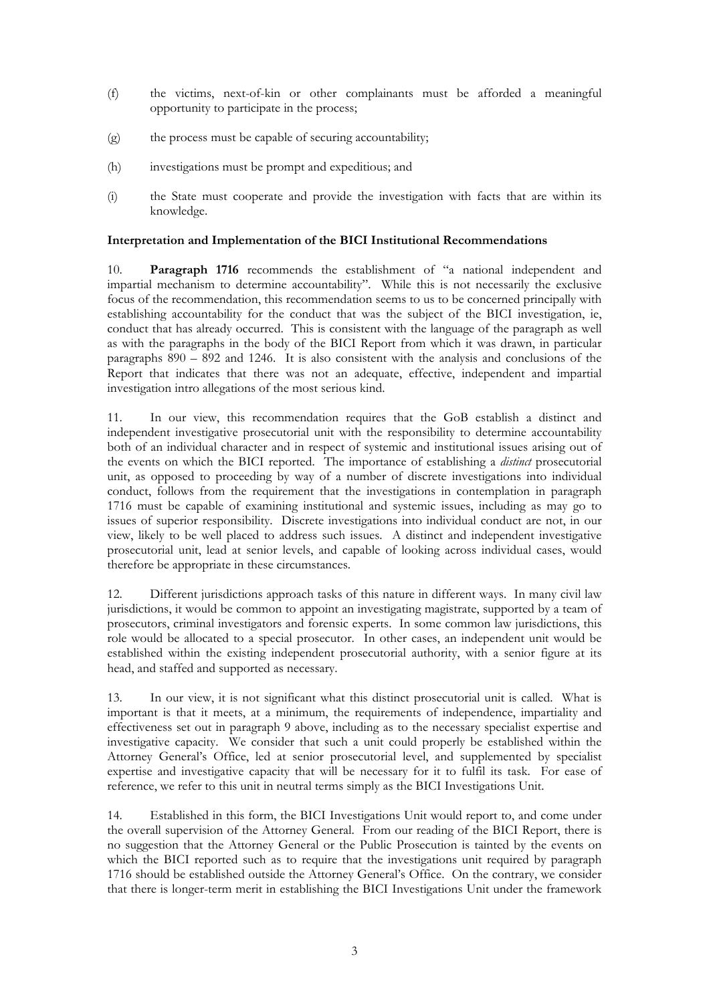- (f) the victims, next-of-kin or other complainants must be afforded a meaningful opportunity to participate in the process;
- (g) the process must be capable of securing accountability;
- (h) investigations must be prompt and expeditious; and
- (i) the State must cooperate and provide the investigation with facts that are within its knowledge.

## **Interpretation and Implementation of the BICI Institutional Recommendations**

10. **Paragraph 1716** recommends the establishment of "a national independent and impartial mechanism to determine accountability". While this is not necessarily the exclusive focus of the recommendation, this recommendation seems to us to be concerned principally with establishing accountability for the conduct that was the subject of the BICI investigation, ie, conduct that has already occurred. This is consistent with the language of the paragraph as well as with the paragraphs in the body of the BICI Report from which it was drawn, in particular paragraphs 890 – 892 and 1246. It is also consistent with the analysis and conclusions of the Report that indicates that there was not an adequate, effective, independent and impartial investigation intro allegations of the most serious kind.

11. In our view, this recommendation requires that the GoB establish a distinct and independent investigative prosecutorial unit with the responsibility to determine accountability both of an individual character and in respect of systemic and institutional issues arising out of the events on which the BICI reported. The importance of establishing a *distinct* prosecutorial unit, as opposed to proceeding by way of a number of discrete investigations into individual conduct, follows from the requirement that the investigations in contemplation in paragraph 1716 must be capable of examining institutional and systemic issues, including as may go to issues of superior responsibility. Discrete investigations into individual conduct are not, in our view, likely to be well placed to address such issues. A distinct and independent investigative prosecutorial unit, lead at senior levels, and capable of looking across individual cases, would therefore be appropriate in these circumstances.

12. Different jurisdictions approach tasks of this nature in different ways. In many civil law jurisdictions, it would be common to appoint an investigating magistrate, supported by a team of prosecutors, criminal investigators and forensic experts. In some common law jurisdictions, this role would be allocated to a special prosecutor. In other cases, an independent unit would be established within the existing independent prosecutorial authority, with a senior figure at its head, and staffed and supported as necessary.

13. In our view, it is not significant what this distinct prosecutorial unit is called. What is important is that it meets, at a minimum, the requirements of independence, impartiality and effectiveness set out in paragraph 9 above, including as to the necessary specialist expertise and investigative capacity. We consider that such a unit could properly be established within the Attorney General's Office, led at senior prosecutorial level, and supplemented by specialist expertise and investigative capacity that will be necessary for it to fulfil its task. For ease of reference, we refer to this unit in neutral terms simply as the BICI Investigations Unit.

14. Established in this form, the BICI Investigations Unit would report to, and come under the overall supervision of the Attorney General. From our reading of the BICI Report, there is no suggestion that the Attorney General or the Public Prosecution is tainted by the events on which the BICI reported such as to require that the investigations unit required by paragraph 1716 should be established outside the Attorney General's Office. On the contrary, we consider that there is longer-term merit in establishing the BICI Investigations Unit under the framework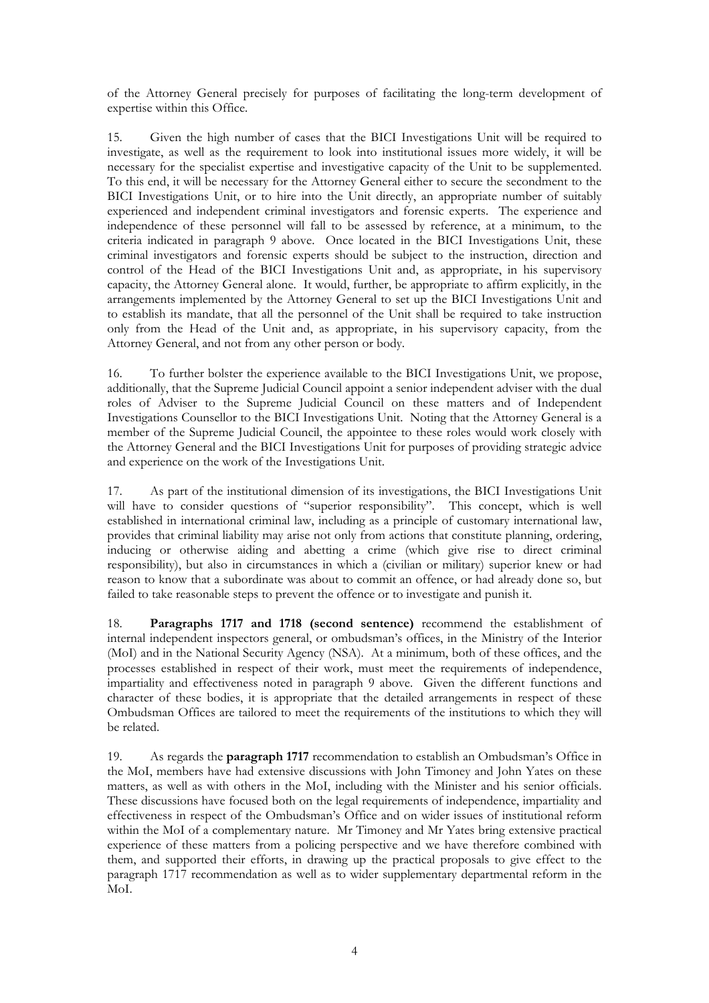of the Attorney General precisely for purposes of facilitating the long-term development of expertise within this Office.

15. Given the high number of cases that the BICI Investigations Unit will be required to investigate, as well as the requirement to look into institutional issues more widely, it will be necessary for the specialist expertise and investigative capacity of the Unit to be supplemented. To this end, it will be necessary for the Attorney General either to secure the secondment to the BICI Investigations Unit, or to hire into the Unit directly, an appropriate number of suitably experienced and independent criminal investigators and forensic experts. The experience and independence of these personnel will fall to be assessed by reference, at a minimum, to the criteria indicated in paragraph 9 above. Once located in the BICI Investigations Unit, these criminal investigators and forensic experts should be subject to the instruction, direction and control of the Head of the BICI Investigations Unit and, as appropriate, in his supervisory capacity, the Attorney General alone. It would, further, be appropriate to affirm explicitly, in the arrangements implemented by the Attorney General to set up the BICI Investigations Unit and to establish its mandate, that all the personnel of the Unit shall be required to take instruction only from the Head of the Unit and, as appropriate, in his supervisory capacity, from the Attorney General, and not from any other person or body.

16. To further bolster the experience available to the BICI Investigations Unit, we propose, additionally, that the Supreme Judicial Council appoint a senior independent adviser with the dual roles of Adviser to the Supreme Judicial Council on these matters and of Independent Investigations Counsellor to the BICI Investigations Unit. Noting that the Attorney General is a member of the Supreme Judicial Council, the appointee to these roles would work closely with the Attorney General and the BICI Investigations Unit for purposes of providing strategic advice and experience on the work of the Investigations Unit.

17. As part of the institutional dimension of its investigations, the BICI Investigations Unit will have to consider questions of "superior responsibility". This concept, which is well established in international criminal law, including as a principle of customary international law, provides that criminal liability may arise not only from actions that constitute planning, ordering, inducing or otherwise aiding and abetting a crime (which give rise to direct criminal responsibility), but also in circumstances in which a (civilian or military) superior knew or had reason to know that a subordinate was about to commit an offence, or had already done so, but failed to take reasonable steps to prevent the offence or to investigate and punish it.

18. **Paragraphs 1717 and 1718 (second sentence)** recommend the establishment of internal independent inspectors general, or ombudsman's offices, in the Ministry of the Interior (MoI) and in the National Security Agency (NSA). At a minimum, both of these offices, and the processes established in respect of their work, must meet the requirements of independence, impartiality and effectiveness noted in paragraph 9 above. Given the different functions and character of these bodies, it is appropriate that the detailed arrangements in respect of these Ombudsman Offices are tailored to meet the requirements of the institutions to which they will be related.

19. As regards the **paragraph 1717** recommendation to establish an Ombudsman's Office in the MoI, members have had extensive discussions with John Timoney and John Yates on these matters, as well as with others in the MoI, including with the Minister and his senior officials. These discussions have focused both on the legal requirements of independence, impartiality and effectiveness in respect of the Ombudsman's Office and on wider issues of institutional reform within the MoI of a complementary nature. Mr Timoney and Mr Yates bring extensive practical experience of these matters from a policing perspective and we have therefore combined with them, and supported their efforts, in drawing up the practical proposals to give effect to the paragraph 1717 recommendation as well as to wider supplementary departmental reform in the MoI.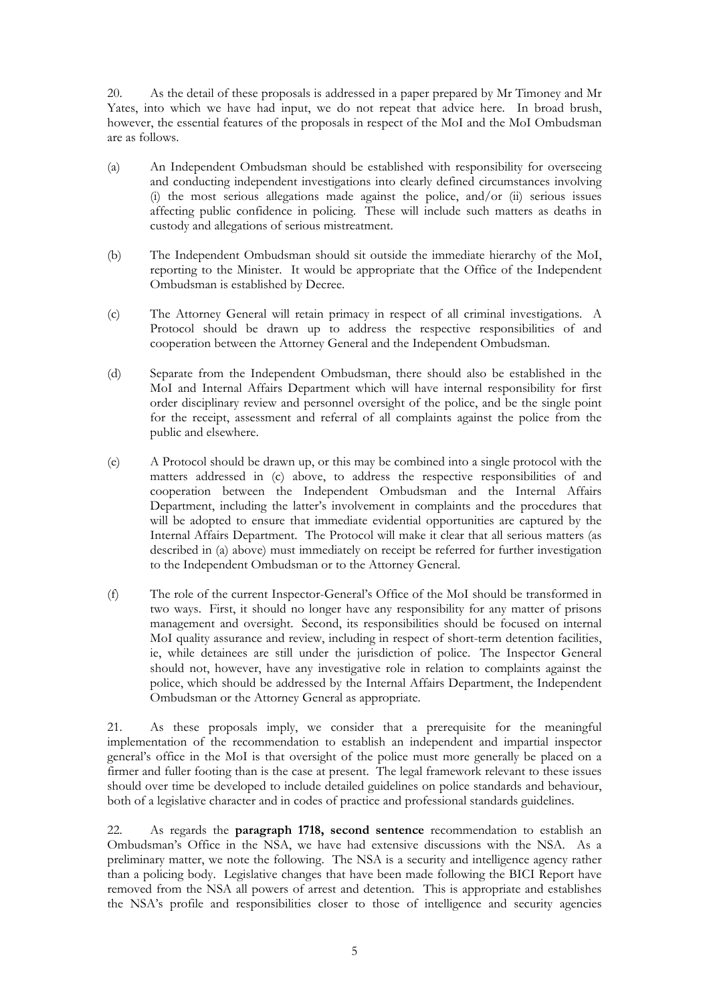20. As the detail of these proposals is addressed in a paper prepared by Mr Timoney and Mr Yates, into which we have had input, we do not repeat that advice here. In broad brush, however, the essential features of the proposals in respect of the MoI and the MoI Ombudsman are as follows.

- (a) An Independent Ombudsman should be established with responsibility for overseeing and conducting independent investigations into clearly defined circumstances involving (i) the most serious allegations made against the police, and/or (ii) serious issues affecting public confidence in policing. These will include such matters as deaths in custody and allegations of serious mistreatment.
- (b) The Independent Ombudsman should sit outside the immediate hierarchy of the MoI, reporting to the Minister. It would be appropriate that the Office of the Independent Ombudsman is established by Decree.
- (c) The Attorney General will retain primacy in respect of all criminal investigations. A Protocol should be drawn up to address the respective responsibilities of and cooperation between the Attorney General and the Independent Ombudsman.
- (d) Separate from the Independent Ombudsman, there should also be established in the MoI and Internal Affairs Department which will have internal responsibility for first order disciplinary review and personnel oversight of the police, and be the single point for the receipt, assessment and referral of all complaints against the police from the public and elsewhere.
- (e) A Protocol should be drawn up, or this may be combined into a single protocol with the matters addressed in (c) above, to address the respective responsibilities of and cooperation between the Independent Ombudsman and the Internal Affairs Department, including the latter's involvement in complaints and the procedures that will be adopted to ensure that immediate evidential opportunities are captured by the Internal Affairs Department. The Protocol will make it clear that all serious matters (as described in (a) above) must immediately on receipt be referred for further investigation to the Independent Ombudsman or to the Attorney General.
- (f) The role of the current Inspector-General's Office of the MoI should be transformed in two ways. First, it should no longer have any responsibility for any matter of prisons management and oversight. Second, its responsibilities should be focused on internal MoI quality assurance and review, including in respect of short-term detention facilities, ie, while detainees are still under the jurisdiction of police. The Inspector General should not, however, have any investigative role in relation to complaints against the police, which should be addressed by the Internal Affairs Department, the Independent Ombudsman or the Attorney General as appropriate.

21. As these proposals imply, we consider that a prerequisite for the meaningful implementation of the recommendation to establish an independent and impartial inspector general's office in the MoI is that oversight of the police must more generally be placed on a firmer and fuller footing than is the case at present. The legal framework relevant to these issues should over time be developed to include detailed guidelines on police standards and behaviour, both of a legislative character and in codes of practice and professional standards guidelines.

22. As regards the **paragraph 1718, second sentence** recommendation to establish an Ombudsman's Office in the NSA, we have had extensive discussions with the NSA. As a preliminary matter, we note the following. The NSA is a security and intelligence agency rather than a policing body. Legislative changes that have been made following the BICI Report have removed from the NSA all powers of arrest and detention. This is appropriate and establishes the NSA's profile and responsibilities closer to those of intelligence and security agencies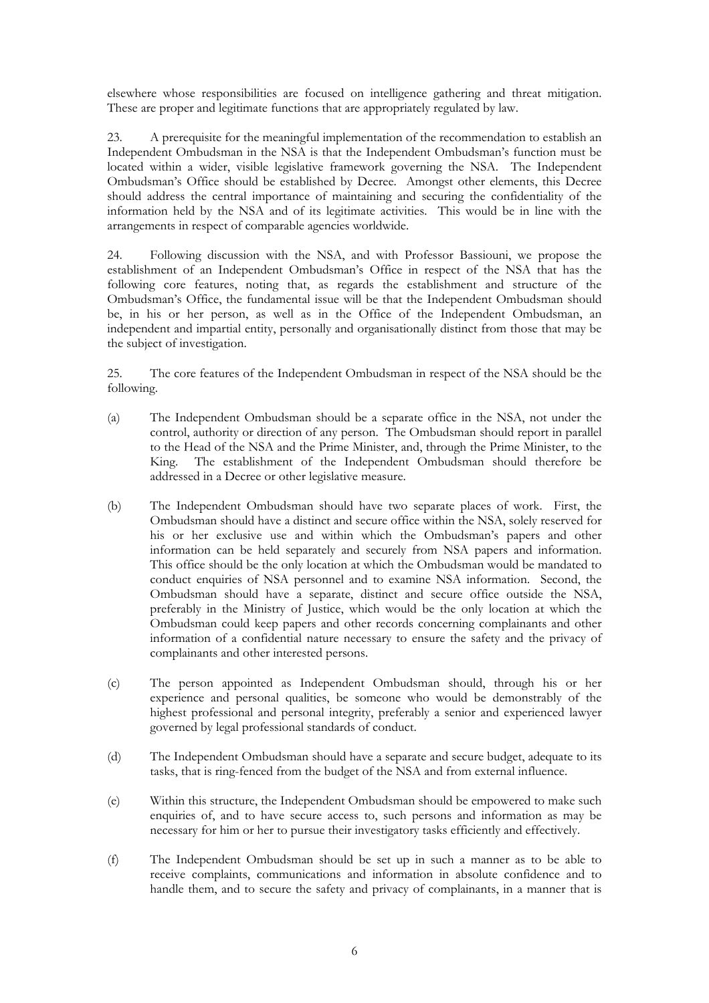elsewhere whose responsibilities are focused on intelligence gathering and threat mitigation. These are proper and legitimate functions that are appropriately regulated by law.

23. A prerequisite for the meaningful implementation of the recommendation to establish an Independent Ombudsman in the NSA is that the Independent Ombudsman's function must be located within a wider, visible legislative framework governing the NSA. The Independent Ombudsman's Office should be established by Decree. Amongst other elements, this Decree should address the central importance of maintaining and securing the confidentiality of the information held by the NSA and of its legitimate activities. This would be in line with the arrangements in respect of comparable agencies worldwide.

24. Following discussion with the NSA, and with Professor Bassiouni, we propose the establishment of an Independent Ombudsman's Office in respect of the NSA that has the following core features, noting that, as regards the establishment and structure of the Ombudsman's Office, the fundamental issue will be that the Independent Ombudsman should be, in his or her person, as well as in the Office of the Independent Ombudsman, an independent and impartial entity, personally and organisationally distinct from those that may be the subject of investigation.

25. The core features of the Independent Ombudsman in respect of the NSA should be the following.

- (a) The Independent Ombudsman should be a separate office in the NSA, not under the control, authority or direction of any person. The Ombudsman should report in parallel to the Head of the NSA and the Prime Minister, and, through the Prime Minister, to the King. The establishment of the Independent Ombudsman should therefore be addressed in a Decree or other legislative measure.
- (b) The Independent Ombudsman should have two separate places of work. First, the Ombudsman should have a distinct and secure office within the NSA, solely reserved for his or her exclusive use and within which the Ombudsman's papers and other information can be held separately and securely from NSA papers and information. This office should be the only location at which the Ombudsman would be mandated to conduct enquiries of NSA personnel and to examine NSA information. Second, the Ombudsman should have a separate, distinct and secure office outside the NSA, preferably in the Ministry of Justice, which would be the only location at which the Ombudsman could keep papers and other records concerning complainants and other information of a confidential nature necessary to ensure the safety and the privacy of complainants and other interested persons.
- (c) The person appointed as Independent Ombudsman should, through his or her experience and personal qualities, be someone who would be demonstrably of the highest professional and personal integrity, preferably a senior and experienced lawyer governed by legal professional standards of conduct.
- (d) The Independent Ombudsman should have a separate and secure budget, adequate to its tasks, that is ring-fenced from the budget of the NSA and from external influence.
- (e) Within this structure, the Independent Ombudsman should be empowered to make such enquiries of, and to have secure access to, such persons and information as may be necessary for him or her to pursue their investigatory tasks efficiently and effectively.
- (f) The Independent Ombudsman should be set up in such a manner as to be able to receive complaints, communications and information in absolute confidence and to handle them, and to secure the safety and privacy of complainants, in a manner that is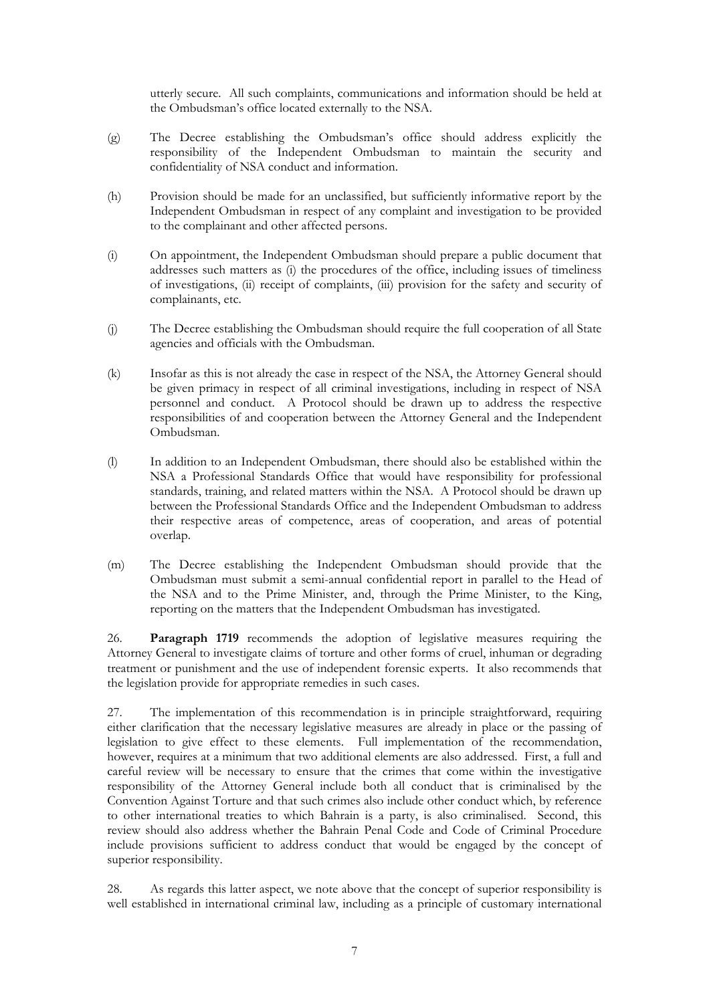utterly secure. All such complaints, communications and information should be held at the Ombudsman's office located externally to the NSA.

- (g) The Decree establishing the Ombudsman's office should address explicitly the responsibility of the Independent Ombudsman to maintain the security and confidentiality of NSA conduct and information.
- (h) Provision should be made for an unclassified, but sufficiently informative report by the Independent Ombudsman in respect of any complaint and investigation to be provided to the complainant and other affected persons.
- (i) On appointment, the Independent Ombudsman should prepare a public document that addresses such matters as (i) the procedures of the office, including issues of timeliness of investigations, (ii) receipt of complaints, (iii) provision for the safety and security of complainants, etc.
- (j) The Decree establishing the Ombudsman should require the full cooperation of all State agencies and officials with the Ombudsman.
- (k) Insofar as this is not already the case in respect of the NSA, the Attorney General should be given primacy in respect of all criminal investigations, including in respect of NSA personnel and conduct. A Protocol should be drawn up to address the respective responsibilities of and cooperation between the Attorney General and the Independent Ombudsman.
- (l) In addition to an Independent Ombudsman, there should also be established within the NSA a Professional Standards Office that would have responsibility for professional standards, training, and related matters within the NSA. A Protocol should be drawn up between the Professional Standards Office and the Independent Ombudsman to address their respective areas of competence, areas of cooperation, and areas of potential overlap.
- (m) The Decree establishing the Independent Ombudsman should provide that the Ombudsman must submit a semi-annual confidential report in parallel to the Head of the NSA and to the Prime Minister, and, through the Prime Minister, to the King, reporting on the matters that the Independent Ombudsman has investigated.

26. **Paragraph 1719** recommends the adoption of legislative measures requiring the Attorney General to investigate claims of torture and other forms of cruel, inhuman or degrading treatment or punishment and the use of independent forensic experts. It also recommends that the legislation provide for appropriate remedies in such cases.

27. The implementation of this recommendation is in principle straightforward, requiring either clarification that the necessary legislative measures are already in place or the passing of legislation to give effect to these elements. Full implementation of the recommendation, however, requires at a minimum that two additional elements are also addressed. First, a full and careful review will be necessary to ensure that the crimes that come within the investigative responsibility of the Attorney General include both all conduct that is criminalised by the Convention Against Torture and that such crimes also include other conduct which, by reference to other international treaties to which Bahrain is a party, is also criminalised. Second, this review should also address whether the Bahrain Penal Code and Code of Criminal Procedure include provisions sufficient to address conduct that would be engaged by the concept of superior responsibility.

28. As regards this latter aspect, we note above that the concept of superior responsibility is well established in international criminal law, including as a principle of customary international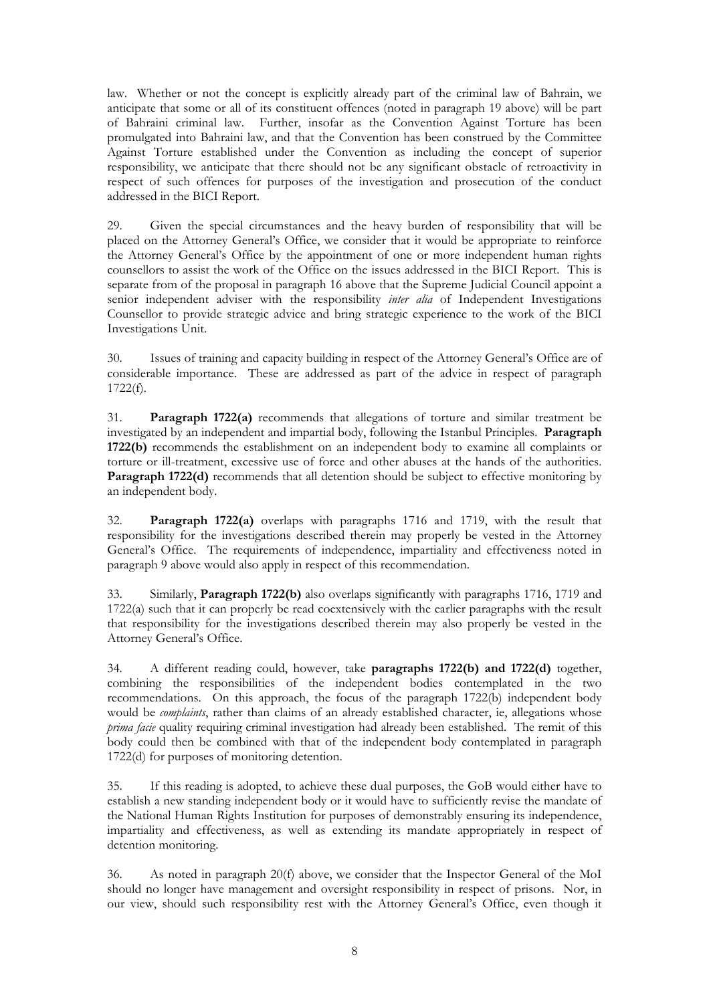law. Whether or not the concept is explicitly already part of the criminal law of Bahrain, we anticipate that some or all of its constituent offences (noted in paragraph 19 above) will be part of Bahraini criminal law. Further, insofar as the Convention Against Torture has been promulgated into Bahraini law, and that the Convention has been construed by the Committee Against Torture established under the Convention as including the concept of superior responsibility, we anticipate that there should not be any significant obstacle of retroactivity in respect of such offences for purposes of the investigation and prosecution of the conduct addressed in the BICI Report.

29. Given the special circumstances and the heavy burden of responsibility that will be placed on the Attorney General's Office, we consider that it would be appropriate to reinforce the Attorney General's Office by the appointment of one or more independent human rights counsellors to assist the work of the Office on the issues addressed in the BICI Report. This is separate from of the proposal in paragraph 16 above that the Supreme Judicial Council appoint a senior independent adviser with the responsibility *inter alia* of Independent Investigations Counsellor to provide strategic advice and bring strategic experience to the work of the BICI Investigations Unit.

30. Issues of training and capacity building in respect of the Attorney General's Office are of considerable importance. These are addressed as part of the advice in respect of paragraph 1722(f).

31. **Paragraph 1722(a)** recommends that allegations of torture and similar treatment be investigated by an independent and impartial body, following the Istanbul Principles. **Paragraph 1722(b)** recommends the establishment on an independent body to examine all complaints or torture or ill-treatment, excessive use of force and other abuses at the hands of the authorities. **Paragraph 1722(d)** recommends that all detention should be subject to effective monitoring by an independent body.

32. **Paragraph 1722(a)** overlaps with paragraphs 1716 and 1719, with the result that responsibility for the investigations described therein may properly be vested in the Attorney General's Office. The requirements of independence, impartiality and effectiveness noted in paragraph 9 above would also apply in respect of this recommendation.

33. Similarly, **Paragraph 1722(b)** also overlaps significantly with paragraphs 1716, 1719 and 1722(a) such that it can properly be read coextensively with the earlier paragraphs with the result that responsibility for the investigations described therein may also properly be vested in the Attorney General's Office.

34. A different reading could, however, take **paragraphs 1722(b) and 1722(d)** together, combining the responsibilities of the independent bodies contemplated in the two recommendations. On this approach, the focus of the paragraph 1722(b) independent body would be *complaints*, rather than claims of an already established character, ie, allegations whose *prima facie* quality requiring criminal investigation had already been established. The remit of this body could then be combined with that of the independent body contemplated in paragraph 1722(d) for purposes of monitoring detention.

35. If this reading is adopted, to achieve these dual purposes, the GoB would either have to establish a new standing independent body or it would have to sufficiently revise the mandate of the National Human Rights Institution for purposes of demonstrably ensuring its independence, impartiality and effectiveness, as well as extending its mandate appropriately in respect of detention monitoring.

36. As noted in paragraph 20(f) above, we consider that the Inspector General of the MoI should no longer have management and oversight responsibility in respect of prisons. Nor, in our view, should such responsibility rest with the Attorney General's Office, even though it